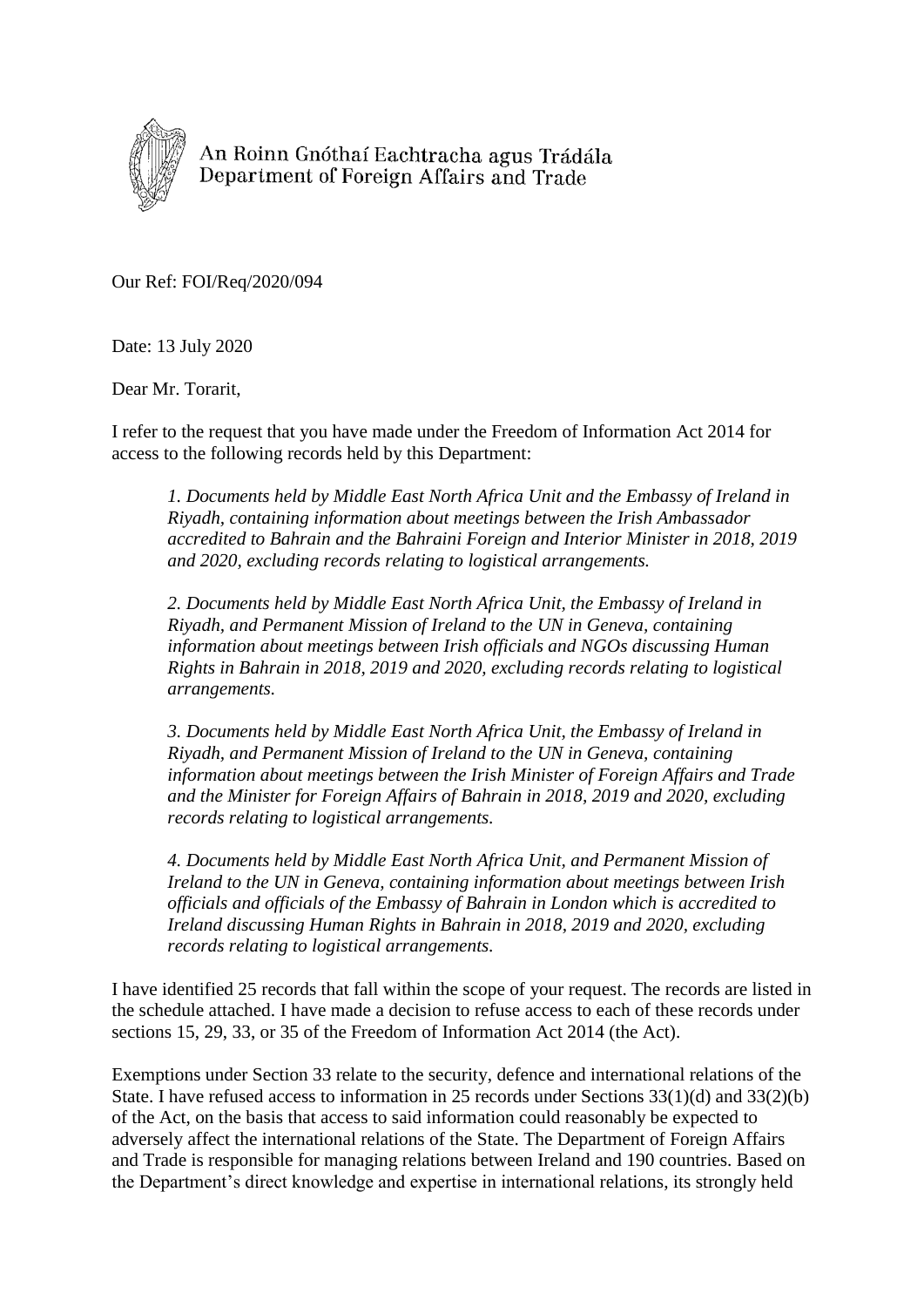

An Roinn Gnóthaí Eachtracha agus Trádála Department of Foreign Affairs and Trade

Our Ref: FOI/Req/2020/094

Date: 13 July 2020

Dear Mr. Torarit,

I refer to the request that you have made under the Freedom of Information Act 2014 for access to the following records held by this Department:

*1. Documents held by Middle East North Africa Unit and the Embassy of Ireland in Riyadh, containing information about meetings between the Irish Ambassador accredited to Bahrain and the Bahraini Foreign and Interior Minister in 2018, 2019 and 2020, excluding records relating to logistical arrangements.*

*2. Documents held by Middle East North Africa Unit, the Embassy of Ireland in Riyadh, and Permanent Mission of Ireland to the UN in Geneva, containing information about meetings between Irish officials and NGOs discussing Human Rights in Bahrain in 2018, 2019 and 2020, excluding records relating to logistical arrangements.*

*3. Documents held by Middle East North Africa Unit, the Embassy of Ireland in Riyadh, and Permanent Mission of Ireland to the UN in Geneva, containing information about meetings between the Irish Minister of Foreign Affairs and Trade and the Minister for Foreign Affairs of Bahrain in 2018, 2019 and 2020, excluding records relating to logistical arrangements.*

*4. Documents held by Middle East North Africa Unit, and Permanent Mission of Ireland to the UN in Geneva, containing information about meetings between Irish officials and officials of the Embassy of Bahrain in London which is accredited to Ireland discussing Human Rights in Bahrain in 2018, 2019 and 2020, excluding records relating to logistical arrangements.* 

I have identified 25 records that fall within the scope of your request. The records are listed in the schedule attached. I have made a decision to refuse access to each of these records under sections 15, 29, 33, or 35 of the Freedom of Information Act 2014 (the Act).

Exemptions under Section 33 relate to the security, defence and international relations of the State. I have refused access to information in 25 records under Sections 33(1)(d) and 33(2)(b) of the Act, on the basis that access to said information could reasonably be expected to adversely affect the international relations of the State. The Department of Foreign Affairs and Trade is responsible for managing relations between Ireland and 190 countries. Based on the Department's direct knowledge and expertise in international relations, its strongly held